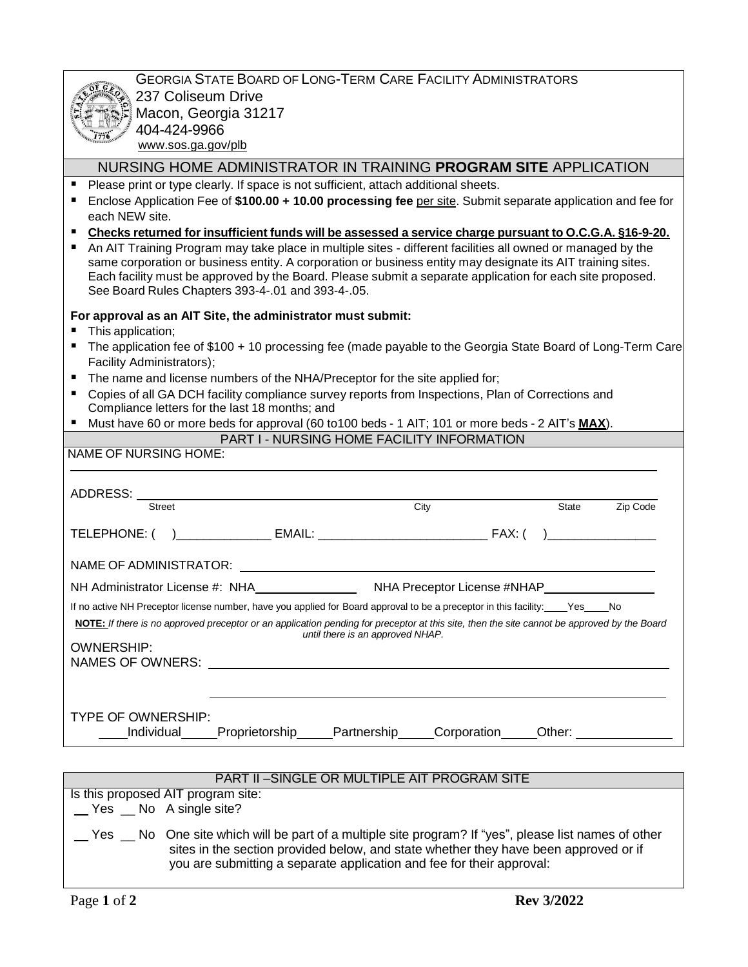|                                                                                                                                                                                                                                                                                                                                                                                              | <b>GEORGIA STATE BOARD OF LONG-TERM CARE FACILITY ADMINISTRATORS</b>                                                 |                                  |      |  |       |          |
|----------------------------------------------------------------------------------------------------------------------------------------------------------------------------------------------------------------------------------------------------------------------------------------------------------------------------------------------------------------------------------------------|----------------------------------------------------------------------------------------------------------------------|----------------------------------|------|--|-------|----------|
| 237 Coliseum Drive                                                                                                                                                                                                                                                                                                                                                                           |                                                                                                                      |                                  |      |  |       |          |
| Macon, Georgia 31217                                                                                                                                                                                                                                                                                                                                                                         |                                                                                                                      |                                  |      |  |       |          |
| 404-424-9966                                                                                                                                                                                                                                                                                                                                                                                 |                                                                                                                      |                                  |      |  |       |          |
| www.sos.ga.gov/plb                                                                                                                                                                                                                                                                                                                                                                           |                                                                                                                      |                                  |      |  |       |          |
|                                                                                                                                                                                                                                                                                                                                                                                              | NURSING HOME ADMINISTRATOR IN TRAINING PROGRAM SITE APPLICATION                                                      |                                  |      |  |       |          |
| Please print or type clearly. If space is not sufficient, attach additional sheets.                                                                                                                                                                                                                                                                                                          |                                                                                                                      |                                  |      |  |       |          |
| Enclose Application Fee of \$100.00 + 10.00 processing fee per site. Submit separate application and fee for                                                                                                                                                                                                                                                                                 |                                                                                                                      |                                  |      |  |       |          |
| each NEW site.                                                                                                                                                                                                                                                                                                                                                                               |                                                                                                                      |                                  |      |  |       |          |
| Checks returned for insufficient funds will be assessed a service charge pursuant to O.C.G.A. §16-9-20.                                                                                                                                                                                                                                                                                      |                                                                                                                      |                                  |      |  |       |          |
| An AIT Training Program may take place in multiple sites - different facilities all owned or managed by the<br>same corporation or business entity. A corporation or business entity may designate its AIT training sites.<br>Each facility must be approved by the Board. Please submit a separate application for each site proposed.<br>See Board Rules Chapters 393-4-.01 and 393-4-.05. |                                                                                                                      |                                  |      |  |       |          |
| For approval as an AIT Site, the administrator must submit:                                                                                                                                                                                                                                                                                                                                  |                                                                                                                      |                                  |      |  |       |          |
| This application;                                                                                                                                                                                                                                                                                                                                                                            |                                                                                                                      |                                  |      |  |       |          |
| The application fee of \$100 + 10 processing fee (made payable to the Georgia State Board of Long-Term Care                                                                                                                                                                                                                                                                                  |                                                                                                                      |                                  |      |  |       |          |
| Facility Administrators);                                                                                                                                                                                                                                                                                                                                                                    |                                                                                                                      |                                  |      |  |       |          |
| The name and license numbers of the NHA/Preceptor for the site applied for;                                                                                                                                                                                                                                                                                                                  |                                                                                                                      |                                  |      |  |       |          |
| Copies of all GA DCH facility compliance survey reports from Inspections, Plan of Corrections and<br>Compliance letters for the last 18 months; and                                                                                                                                                                                                                                          |                                                                                                                      |                                  |      |  |       |          |
| Must have 60 or more beds for approval (60 to 100 beds - 1 AIT; 101 or more beds - 2 AIT's MAX).                                                                                                                                                                                                                                                                                             |                                                                                                                      |                                  |      |  |       |          |
|                                                                                                                                                                                                                                                                                                                                                                                              | PART I - NURSING HOME FACILITY INFORMATION                                                                           |                                  |      |  |       |          |
| <b>NAME OF NURSING HOME:</b>                                                                                                                                                                                                                                                                                                                                                                 |                                                                                                                      |                                  |      |  |       |          |
|                                                                                                                                                                                                                                                                                                                                                                                              |                                                                                                                      |                                  |      |  |       |          |
| ADDRESS:                                                                                                                                                                                                                                                                                                                                                                                     |                                                                                                                      |                                  |      |  |       |          |
| <b>Street</b>                                                                                                                                                                                                                                                                                                                                                                                |                                                                                                                      |                                  | City |  | State | Zip Code |
|                                                                                                                                                                                                                                                                                                                                                                                              |                                                                                                                      |                                  |      |  |       |          |
|                                                                                                                                                                                                                                                                                                                                                                                              |                                                                                                                      |                                  |      |  |       |          |
|                                                                                                                                                                                                                                                                                                                                                                                              |                                                                                                                      |                                  |      |  |       |          |
|                                                                                                                                                                                                                                                                                                                                                                                              |                                                                                                                      |                                  |      |  |       |          |
|                                                                                                                                                                                                                                                                                                                                                                                              |                                                                                                                      |                                  |      |  |       |          |
| If no active NH Preceptor license number, have you applied for Board approval to be a preceptor in this facility: _____Yes_____No                                                                                                                                                                                                                                                            |                                                                                                                      |                                  |      |  |       |          |
| NOTE: If there is no approved preceptor or an application pending for preceptor at this site, then the site cannot be approved by the Board                                                                                                                                                                                                                                                  |                                                                                                                      | until there is an approved NHAP. |      |  |       |          |
| <b>OWNERSHIP:</b>                                                                                                                                                                                                                                                                                                                                                                            |                                                                                                                      |                                  |      |  |       |          |
| NAMES OF OWNERS:                                                                                                                                                                                                                                                                                                                                                                             | <u> 1980 - Jan Samuel Barbara, martin da shekara 1980 - An tsa a tsa a tsa a tsa a tsa a tsa a tsa a tsa a tsa a</u> |                                  |      |  |       |          |
|                                                                                                                                                                                                                                                                                                                                                                                              |                                                                                                                      |                                  |      |  |       |          |
|                                                                                                                                                                                                                                                                                                                                                                                              |                                                                                                                      |                                  |      |  |       |          |
| TYPE OF OWNERSHIP:                                                                                                                                                                                                                                                                                                                                                                           |                                                                                                                      |                                  |      |  |       |          |
|                                                                                                                                                                                                                                                                                                                                                                                              |                                                                                                                      |                                  |      |  |       |          |
| Individual                                                                                                                                                                                                                                                                                                                                                                                   | Proprietorship_____Partnership_____Corporation_____Other: _______________                                            |                                  |      |  |       |          |
|                                                                                                                                                                                                                                                                                                                                                                                              |                                                                                                                      |                                  |      |  |       |          |
|                                                                                                                                                                                                                                                                                                                                                                                              |                                                                                                                      |                                  |      |  |       |          |
|                                                                                                                                                                                                                                                                                                                                                                                              | <b>PART II-SINGLE OR MULTIPLE AIT PROGRAM SITE</b>                                                                   |                                  |      |  |       |          |
| Is this proposed AIT program site:<br>__ Yes __ No A single site?                                                                                                                                                                                                                                                                                                                            |                                                                                                                      |                                  |      |  |       |          |

 Yes \_\_ No One site which will be part of a multiple site program? If "yes", please list names of other sites in the section provided below, and state whether they have been approved or if you are submitting a separate application and fee for their approval: